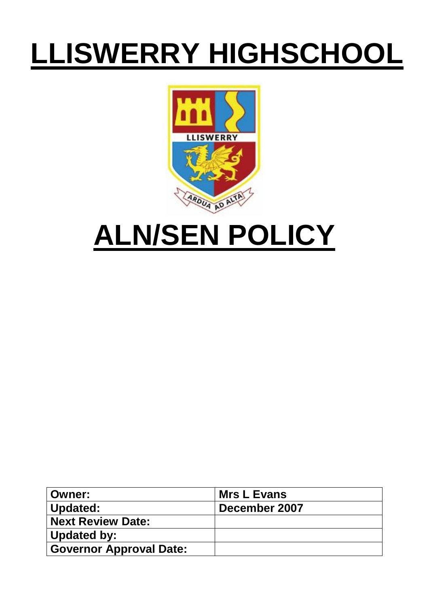# **LLISWERRY HIGHSCHOOL**



## **ALN/SEN POLICY**

| ∣ Owner:                | <b>Mrs L Evans</b> |
|-------------------------|--------------------|
| Updated:                | December 2007      |
| Next Review Date:       |                    |
| Updated by:             |                    |
| Governor Approval Date: |                    |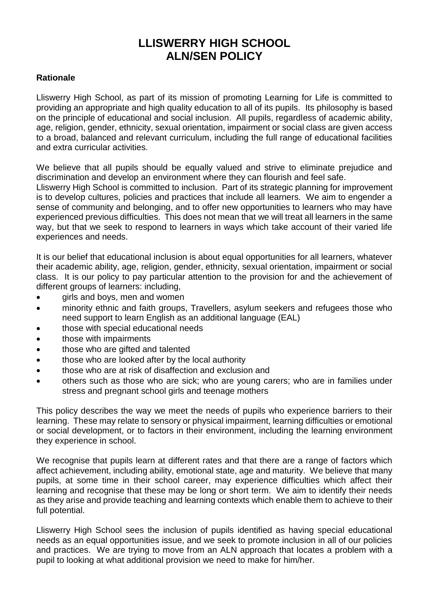## **LLISWERRY HIGH SCHOOL ALN/SEN POLICY**

#### **Rationale**

Lliswerry High School, as part of its mission of promoting Learning for Life is committed to providing an appropriate and high quality education to all of its pupils. Its philosophy is based on the principle of educational and social inclusion. All pupils, regardless of academic ability, age, religion, gender, ethnicity, sexual orientation, impairment or social class are given access to a broad, balanced and relevant curriculum, including the full range of educational facilities and extra curricular activities.

We believe that all pupils should be equally valued and strive to eliminate prejudice and discrimination and develop an environment where they can flourish and feel safe.

Lliswerry High School is committed to inclusion. Part of its strategic planning for improvement is to develop cultures, policies and practices that include all learners. We aim to engender a sense of community and belonging, and to offer new opportunities to learners who may have experienced previous difficulties. This does not mean that we will treat all learners in the same way, but that we seek to respond to learners in ways which take account of their varied life experiences and needs.

It is our belief that educational inclusion is about equal opportunities for all learners, whatever their academic ability, age, religion, gender, ethnicity, sexual orientation, impairment or social class. It is our policy to pay particular attention to the provision for and the achievement of different groups of learners: including,

- girls and boys, men and women
- minority ethnic and faith groups, Travellers, asylum seekers and refugees those who need support to learn English as an additional language (EAL)
- those with special educational needs
- those with impairments
- those who are gifted and talented
- those who are looked after by the local authority
- those who are at risk of disaffection and exclusion and
- others such as those who are sick; who are young carers; who are in families under stress and pregnant school girls and teenage mothers

This policy describes the way we meet the needs of pupils who experience barriers to their learning. These may relate to sensory or physical impairment, learning difficulties or emotional or social development, or to factors in their environment, including the learning environment they experience in school.

We recognise that pupils learn at different rates and that there are a range of factors which affect achievement, including ability, emotional state, age and maturity. We believe that many pupils, at some time in their school career, may experience difficulties which affect their learning and recognise that these may be long or short term. We aim to identify their needs as they arise and provide teaching and learning contexts which enable them to achieve to their full potential.

Lliswerry High School sees the inclusion of pupils identified as having special educational needs as an equal opportunities issue, and we seek to promote inclusion in all of our policies and practices. We are trying to move from an ALN approach that locates a problem with a pupil to looking at what additional provision we need to make for him/her.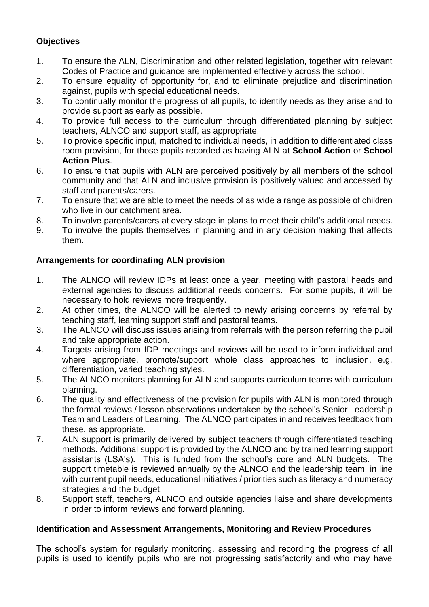#### **Objectives**

- 1. To ensure the ALN, Discrimination and other related legislation, together with relevant Codes of Practice and guidance are implemented effectively across the school.
- 2. To ensure equality of opportunity for, and to eliminate prejudice and discrimination against, pupils with special educational needs.
- 3. To continually monitor the progress of all pupils, to identify needs as they arise and to provide support as early as possible.
- 4. To provide full access to the curriculum through differentiated planning by subject teachers, ALNCO and support staff, as appropriate.
- 5. To provide specific input, matched to individual needs, in addition to differentiated class room provision, for those pupils recorded as having ALN at **School Action** or **School Action Plus**.
- 6. To ensure that pupils with ALN are perceived positively by all members of the school community and that ALN and inclusive provision is positively valued and accessed by staff and parents/carers.
- 7. To ensure that we are able to meet the needs of as wide a range as possible of children who live in our catchment area.
- 8. To involve parents/carers at every stage in plans to meet their child's additional needs.
- 9. To involve the pupils themselves in planning and in any decision making that affects them.

#### **Arrangements for coordinating ALN provision**

- 1. The ALNCO will review IDPs at least once a year, meeting with pastoral heads and external agencies to discuss additional needs concerns. For some pupils, it will be necessary to hold reviews more frequently.
- 2. At other times, the ALNCO will be alerted to newly arising concerns by referral by teaching staff, learning support staff and pastoral teams.
- 3. The ALNCO will discuss issues arising from referrals with the person referring the pupil and take appropriate action.
- 4. Targets arising from IDP meetings and reviews will be used to inform individual and where appropriate, promote/support whole class approaches to inclusion, e.g. differentiation, varied teaching styles.
- 5. The ALNCO monitors planning for ALN and supports curriculum teams with curriculum planning.
- 6. The quality and effectiveness of the provision for pupils with ALN is monitored through the formal reviews / lesson observations undertaken by the school's Senior Leadership Team and Leaders of Learning. The ALNCO participates in and receives feedback from these, as appropriate.
- 7. ALN support is primarily delivered by subject teachers through differentiated teaching methods. Additional support is provided by the ALNCO and by trained learning support assistants (LSA's). This is funded from the school's core and ALN budgets. The support timetable is reviewed annually by the ALNCO and the leadership team, in line with current pupil needs, educational initiatives / priorities such as literacy and numeracy strategies and the budget.
- 8. Support staff, teachers, ALNCO and outside agencies liaise and share developments in order to inform reviews and forward planning.

#### **Identification and Assessment Arrangements, Monitoring and Review Procedures**

The school's system for regularly monitoring, assessing and recording the progress of **all** pupils is used to identify pupils who are not progressing satisfactorily and who may have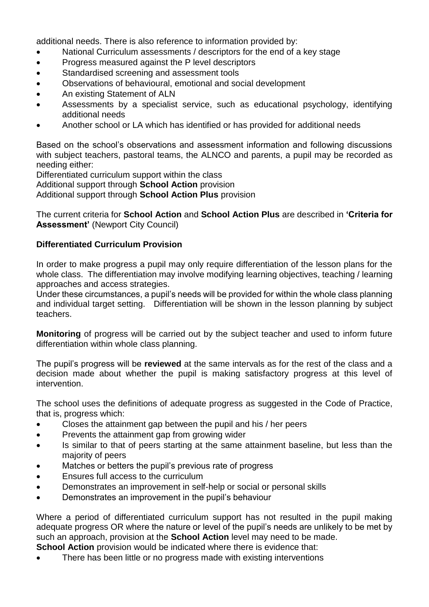additional needs. There is also reference to information provided by:

- National Curriculum assessments / descriptors for the end of a key stage
- Progress measured against the P level descriptors
- Standardised screening and assessment tools
- Observations of behavioural, emotional and social development
- An existing Statement of ALN
- Assessments by a specialist service, such as educational psychology, identifying additional needs
- Another school or LA which has identified or has provided for additional needs

Based on the school's observations and assessment information and following discussions with subject teachers, pastoral teams, the ALNCO and parents, a pupil may be recorded as needing either:

Differentiated curriculum support within the class Additional support through **School Action** provision Additional support through **School Action Plus** provision

The current criteria for **School Action** and **School Action Plus** are described in **'Criteria for Assessment'** (Newport City Council)

#### **Differentiated Curriculum Provision**

In order to make progress a pupil may only require differentiation of the lesson plans for the whole class. The differentiation may involve modifying learning objectives, teaching / learning approaches and access strategies.

Under these circumstances, a pupil's needs will be provided for within the whole class planning and individual target setting. Differentiation will be shown in the lesson planning by subject teachers.

**Monitoring** of progress will be carried out by the subject teacher and used to inform future differentiation within whole class planning.

The pupil's progress will be **reviewed** at the same intervals as for the rest of the class and a decision made about whether the pupil is making satisfactory progress at this level of intervention.

The school uses the definitions of adequate progress as suggested in the Code of Practice, that is, progress which:

- Closes the attainment gap between the pupil and his / her peers
- Prevents the attainment gap from growing wider
- Is similar to that of peers starting at the same attainment baseline, but less than the majority of peers
- Matches or betters the pupil's previous rate of progress
- Ensures full access to the curriculum
- Demonstrates an improvement in self-help or social or personal skills
- Demonstrates an improvement in the pupil's behaviour

Where a period of differentiated curriculum support has not resulted in the pupil making adequate progress OR where the nature or level of the pupil's needs are unlikely to be met by such an approach, provision at the **School Action** level may need to be made.

**School Action** provision would be indicated where there is evidence that:

There has been little or no progress made with existing interventions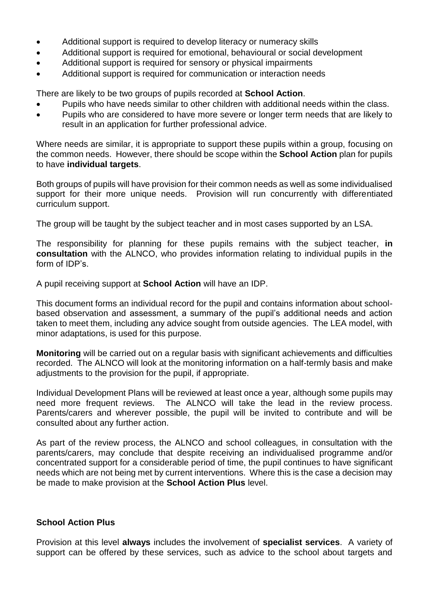- Additional support is required to develop literacy or numeracy skills
- Additional support is required for emotional, behavioural or social development
- Additional support is required for sensory or physical impairments
- Additional support is required for communication or interaction needs

There are likely to be two groups of pupils recorded at **School Action**.

- Pupils who have needs similar to other children with additional needs within the class.
- Pupils who are considered to have more severe or longer term needs that are likely to result in an application for further professional advice.

Where needs are similar, it is appropriate to support these pupils within a group, focusing on the common needs. However, there should be scope within the **School Action** plan for pupils to have **individual targets**.

Both groups of pupils will have provision for their common needs as well as some individualised support for their more unique needs. Provision will run concurrently with differentiated curriculum support.

The group will be taught by the subject teacher and in most cases supported by an LSA.

The responsibility for planning for these pupils remains with the subject teacher, **in consultation** with the ALNCO, who provides information relating to individual pupils in the form of IDP's.

A pupil receiving support at **School Action** will have an IDP.

This document forms an individual record for the pupil and contains information about schoolbased observation and assessment, a summary of the pupil's additional needs and action taken to meet them, including any advice sought from outside agencies. The LEA model, with minor adaptations, is used for this purpose.

**Monitoring** will be carried out on a regular basis with significant achievements and difficulties recorded. The ALNCO will look at the monitoring information on a half-termly basis and make adjustments to the provision for the pupil, if appropriate.

Individual Development Plans will be reviewed at least once a year, although some pupils may need more frequent reviews. The ALNCO will take the lead in the review process. Parents/carers and wherever possible, the pupil will be invited to contribute and will be consulted about any further action.

As part of the review process, the ALNCO and school colleagues, in consultation with the parents/carers, may conclude that despite receiving an individualised programme and/or concentrated support for a considerable period of time, the pupil continues to have significant needs which are not being met by current interventions. Where this is the case a decision may be made to make provision at the **School Action Plus** level.

#### **School Action Plus**

Provision at this level **always** includes the involvement of **specialist services**. A variety of support can be offered by these services, such as advice to the school about targets and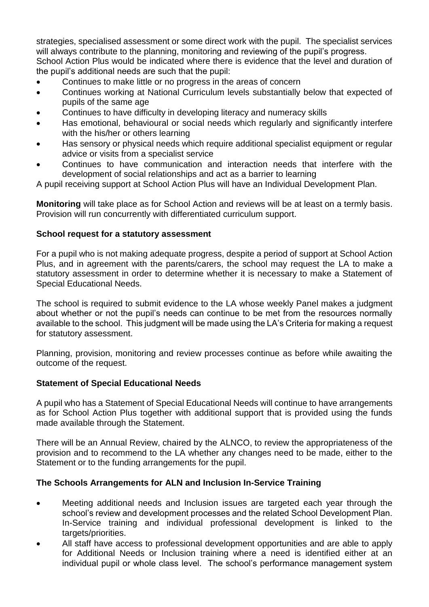strategies, specialised assessment or some direct work with the pupil. The specialist services will always contribute to the planning, monitoring and reviewing of the pupil's progress.

School Action Plus would be indicated where there is evidence that the level and duration of the pupil's additional needs are such that the pupil:

- Continues to make little or no progress in the areas of concern
- Continues working at National Curriculum levels substantially below that expected of pupils of the same age
- Continues to have difficulty in developing literacy and numeracy skills
- Has emotional, behavioural or social needs which regularly and significantly interfere with the his/her or others learning
- Has sensory or physical needs which require additional specialist equipment or regular advice or visits from a specialist service
- Continues to have communication and interaction needs that interfere with the development of social relationships and act as a barrier to learning

A pupil receiving support at School Action Plus will have an Individual Development Plan.

**Monitoring** will take place as for School Action and reviews will be at least on a termly basis. Provision will run concurrently with differentiated curriculum support.

#### **School request for a statutory assessment**

For a pupil who is not making adequate progress, despite a period of support at School Action Plus, and in agreement with the parents/carers, the school may request the LA to make a statutory assessment in order to determine whether it is necessary to make a Statement of Special Educational Needs.

The school is required to submit evidence to the LA whose weekly Panel makes a judgment about whether or not the pupil's needs can continue to be met from the resources normally available to the school. This judgment will be made using the LA's Criteria for making a request for statutory assessment.

Planning, provision, monitoring and review processes continue as before while awaiting the outcome of the request.

#### **Statement of Special Educational Needs**

A pupil who has a Statement of Special Educational Needs will continue to have arrangements as for School Action Plus together with additional support that is provided using the funds made available through the Statement.

There will be an Annual Review, chaired by the ALNCO, to review the appropriateness of the provision and to recommend to the LA whether any changes need to be made, either to the Statement or to the funding arrangements for the pupil.

#### **The Schools Arrangements for ALN and Inclusion In-Service Training**

- Meeting additional needs and Inclusion issues are targeted each year through the school's review and development processes and the related School Development Plan. In-Service training and individual professional development is linked to the targets/priorities.
- All staff have access to professional development opportunities and are able to apply for Additional Needs or Inclusion training where a need is identified either at an individual pupil or whole class level. The school's performance management system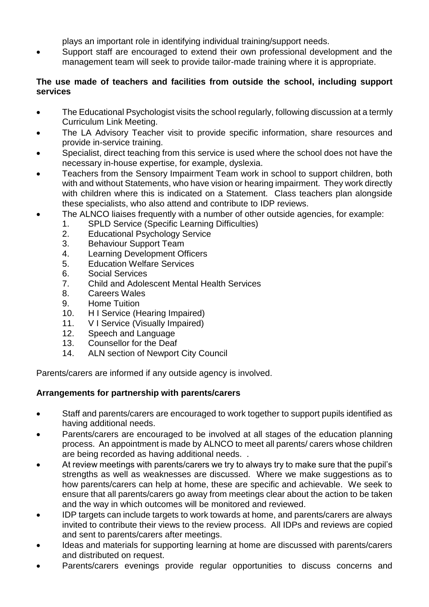plays an important role in identifying individual training/support needs.

 Support staff are encouraged to extend their own professional development and the management team will seek to provide tailor-made training where it is appropriate.

#### **The use made of teachers and facilities from outside the school, including support services**

- The Educational Psychologist visits the school regularly, following discussion at a termly Curriculum Link Meeting.
- The LA Advisory Teacher visit to provide specific information, share resources and provide in-service training.
- Specialist, direct teaching from this service is used where the school does not have the necessary in-house expertise, for example, dyslexia.
- Teachers from the Sensory Impairment Team work in school to support children, both with and without Statements, who have vision or hearing impairment. They work directly with children where this is indicated on a Statement. Class teachers plan alongside these specialists, who also attend and contribute to IDP reviews.
- The ALNCO liaises frequently with a number of other outside agencies, for example:
	- 1. SPLD Service (Specific Learning Difficulties)
	- 2. Educational Psychology Service
	- 3. Behaviour Support Team
	- 4. Learning Development Officers
	- 5. Education Welfare Services
	- 6. Social Services
	- 7. Child and Adolescent Mental Health Services
	- 8. Careers Wales
	- 9. Home Tuition
	- 10. H I Service (Hearing Impaired)
	- 11. V I Service (Visually Impaired)
	- 12. Speech and Language
	- 13. Counsellor for the Deaf
	- 14. ALN section of Newport City Council

Parents/carers are informed if any outside agency is involved.

#### **Arrangements for partnership with parents/carers**

- Staff and parents/carers are encouraged to work together to support pupils identified as having additional needs.
- Parents/carers are encouraged to be involved at all stages of the education planning process. An appointment is made by ALNCO to meet all parents/ carers whose children are being recorded as having additional needs. .
- At review meetings with parents/carers we try to always try to make sure that the pupil's strengths as well as weaknesses are discussed. Where we make suggestions as to how parents/carers can help at home, these are specific and achievable. We seek to ensure that all parents/carers go away from meetings clear about the action to be taken and the way in which outcomes will be monitored and reviewed.
- IDP targets can include targets to work towards at home, and parents/carers are always invited to contribute their views to the review process. All IDPs and reviews are copied and sent to parents/carers after meetings.
- Ideas and materials for supporting learning at home are discussed with parents/carers and distributed on request.
- Parents/carers evenings provide regular opportunities to discuss concerns and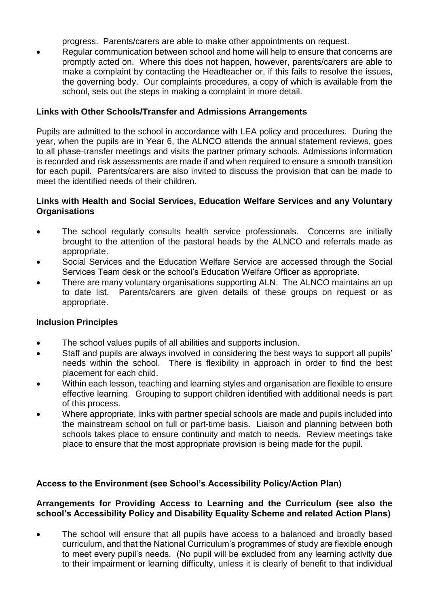progress. Parents/carers are able to make other appointments on request.

 Regular communication between school and home will help to ensure that concerns are promptly acted on. Where this does not happen, however, parents/carers are able to make a complaint by contacting the Headteacher or, if this fails to resolve the issues, the governing body. Our complaints procedures, a copy of which is available from the school, sets out the steps in making a complaint in more detail.

#### **Links with Other Schools/Transfer and Admissions Arrangements**

Pupils are admitted to the school in accordance with LEA policy and procedures. During the year, when the pupils are in Year 6, the ALNCO attends the annual statement reviews, goes to all phase-transfer meetings and visits the partner primary schools. Admissions information is recorded and risk assessments are made if and when required to ensure a smooth transition for each pupil. Parents/carers are also invited to discuss the provision that can be made to meet the identified needs of their children.

#### **Links with Health and Social Services, Education Welfare Services and any Voluntary Organisations**

- The school regularly consults health service professionals. Concerns are initially brought to the attention of the pastoral heads by the ALNCO and referrals made as appropriate.
- Social Services and the Education Welfare Service are accessed through the Social Services Team desk or the school's Education Welfare Officer as appropriate.
- There are many voluntary organisations supporting ALN. The ALNCO maintains an up to date list. Parents/carers are given details of these groups on request or as appropriate.

#### **Inclusion Principles**

- The school values pupils of all abilities and supports inclusion.
- Staff and pupils are always involved in considering the best ways to support all pupils' needs within the school. There is flexibility in approach in order to find the best placement for each child.
- Within each lesson, teaching and learning styles and organisation are flexible to ensure effective learning. Grouping to support children identified with additional needs is part of this process.
- Where appropriate, links with partner special schools are made and pupils included into the mainstream school on full or part-time basis. Liaison and planning between both schools takes place to ensure continuity and match to needs. Review meetings take place to ensure that the most appropriate provision is being made for the pupil.

#### **Access to the Environment (see School's Accessibility Policy/Action Plan)**

#### **Arrangements for Providing Access to Learning and the Curriculum (see also the school's Accessibility Policy and Disability Equality Scheme and related Action Plans)**

 The school will ensure that all pupils have access to a balanced and broadly based curriculum, and that the National Curriculum's programmes of study are flexible enough to meet every pupil's needs. (No pupil will be excluded from any learning activity due to their impairment or learning difficulty, unless it is clearly of benefit to that individual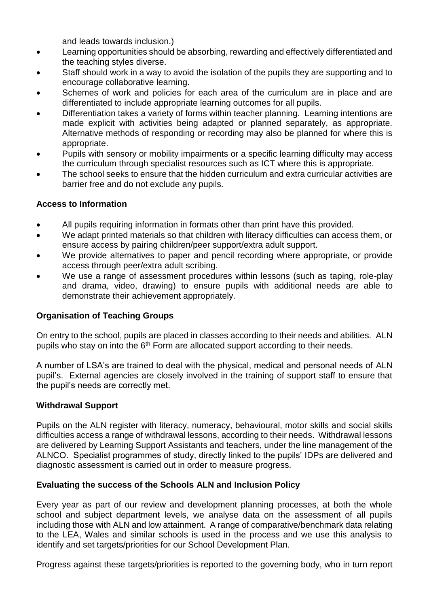and leads towards inclusion.)

- Learning opportunities should be absorbing, rewarding and effectively differentiated and the teaching styles diverse.
- Staff should work in a way to avoid the isolation of the pupils they are supporting and to encourage collaborative learning.
- Schemes of work and policies for each area of the curriculum are in place and are differentiated to include appropriate learning outcomes for all pupils.
- Differentiation takes a variety of forms within teacher planning. Learning intentions are made explicit with activities being adapted or planned separately, as appropriate. Alternative methods of responding or recording may also be planned for where this is appropriate.
- Pupils with sensory or mobility impairments or a specific learning difficulty may access the curriculum through specialist resources such as ICT where this is appropriate.
- The school seeks to ensure that the hidden curriculum and extra curricular activities are barrier free and do not exclude any pupils.

#### **Access to Information**

- All pupils requiring information in formats other than print have this provided.
- We adapt printed materials so that children with literacy difficulties can access them, or ensure access by pairing children/peer support/extra adult support.
- We provide alternatives to paper and pencil recording where appropriate, or provide access through peer/extra adult scribing.
- We use a range of assessment procedures within lessons (such as taping, role-play and drama, video, drawing) to ensure pupils with additional needs are able to demonstrate their achievement appropriately.

#### **Organisation of Teaching Groups**

On entry to the school, pupils are placed in classes according to their needs and abilities. ALN pupils who stay on into the 6<sup>th</sup> Form are allocated support according to their needs.

A number of LSA's are trained to deal with the physical, medical and personal needs of ALN pupil's. External agencies are closely involved in the training of support staff to ensure that the pupil's needs are correctly met.

#### **Withdrawal Support**

Pupils on the ALN register with literacy, numeracy, behavioural, motor skills and social skills difficulties access a range of withdrawal lessons, according to their needs. Withdrawal lessons are delivered by Learning Support Assistants and teachers, under the line management of the ALNCO. Specialist programmes of study, directly linked to the pupils' IDPs are delivered and diagnostic assessment is carried out in order to measure progress.

#### **Evaluating the success of the Schools ALN and Inclusion Policy**

Every year as part of our review and development planning processes, at both the whole school and subject department levels, we analyse data on the assessment of all pupils including those with ALN and low attainment. A range of comparative/benchmark data relating to the LEA, Wales and similar schools is used in the process and we use this analysis to identify and set targets/priorities for our School Development Plan.

Progress against these targets/priorities is reported to the governing body, who in turn report